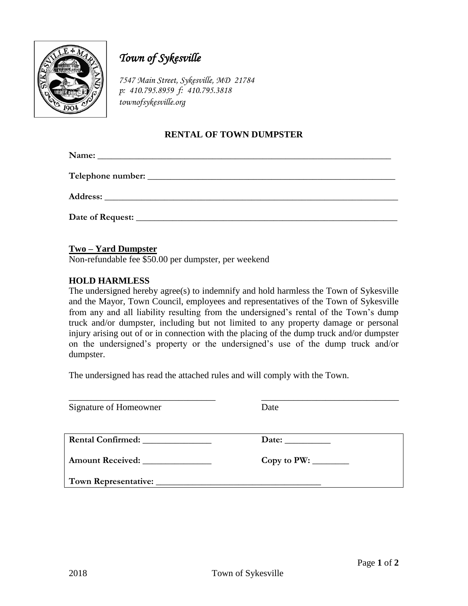

# *Town of Sykesville*

*7547 Main Street, Sykesville, MD 21784 p: 410.795.8959 f: 410.795.3818 townofsykesville.org*

## **RENTAL OF TOWN DUMPSTER**

Name:

**Telephone number:**  $\blacksquare$ 

**Address: \_\_\_\_\_\_\_\_\_\_\_\_\_\_\_\_\_\_\_\_\_\_\_\_\_\_\_\_\_\_\_\_\_\_\_\_\_\_\_\_\_\_\_\_\_\_\_\_\_\_\_\_\_\_\_\_\_\_\_\_\_\_\_\_**

**Date of Request: \_\_\_\_\_\_\_\_\_\_\_\_\_\_\_\_\_\_\_\_\_\_\_\_\_\_\_\_\_\_\_\_\_\_\_\_\_\_\_\_\_\_\_\_\_\_\_\_\_\_\_\_\_\_\_\_\_**

## **Two – Yard Dumpster**

Non-refundable fee \$50.00 per dumpster, per weekend

#### **HOLD HARMLESS**

The undersigned hereby agree(s) to indemnify and hold harmless the Town of Sykesville and the Mayor, Town Council, employees and representatives of the Town of Sykesville from any and all liability resulting from the undersigned's rental of the Town's dump truck and/or dumpster, including but not limited to any property damage or personal injury arising out of or in connection with the placing of the dump truck and/or dumpster on the undersigned's property or the undersigned's use of the dump truck and/or dumpster.

The undersigned has read the attached rules and will comply with the Town.

| Signature of Homeowner   | Date  |
|--------------------------|-------|
| <b>Rental Confirmed:</b> | Date: |
|                          |       |
|                          |       |